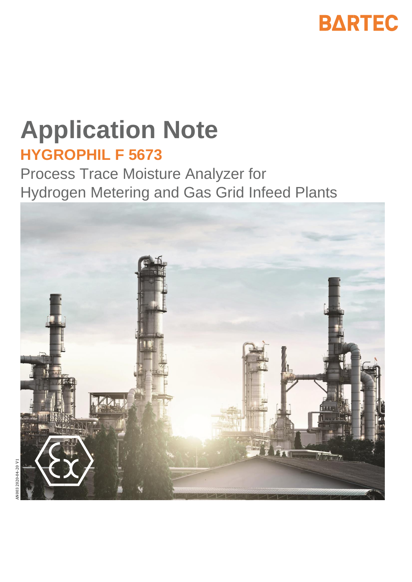

# **Application Note HYGROPHIL F 5673**

Process Trace Moisture Analyzer for Hydrogen Metering and Gas Grid Infeed Plants

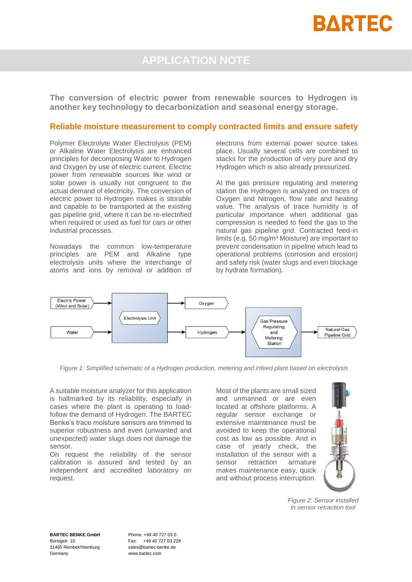## **BARTEC**

### **APPLICATION NOTE**

**The conversion of electric power from renewable sources to Hydrogen is another key technology to decarbonization and seasonal energy storage.** 

#### **Reliable moisture measurement to comply contracted limits and ensure safety**

Polymer Electrolyte Water Electrolysis (PEM) or Alkaline Water Electrolysis are enhanced principles for decomposing Water to Hydrogen and Oxygen by use of electric current. Electric power from renewable sources like wind or solar power is usually not congruent to the actual demand of electricity. The conversion of electric power to Hydrogen makes is storable and capable to be transported at the existing gas pipeline grid, where it can be re-electrified when required or used as fuel for cars or other industrial processes.

Nowadays the common low-temperature principles are PEM and Alkaline type electrolysis units where the interchange of atoms and ions by removal or addition of electrons from external power source takes place. Usually several cells are combined to stacks for the production of very pure and dry Hydrogen which is also already pressurized.

At the gas pressure regulating and metering station the Hydrogen is analyzed on traces of Oxygen and Nitrogen, flow rate and heating value. The analysis of trace humidity is of particular importance when additional gas compression is needed to feed the gas to the natural gas pipeline grid. Contracted feed-in limits (e.g. 50 mg/m³ Moisture) are important to prevent condensation in pipeline which lead to operational problems (corrosion and erosion) and safety risk (water slugs and even blockage by hydrate formation).



*Figure 1: Simplified schematic of a Hydrogen production, metering and infeed plant based on electrolysis*

A suitable moisture analyzer for this application is hallmarked by its reliability, especially in cases where the plant is operating to loadfollow the demand of Hydrogen. The BARTEC Benke's trace moisture sensors are trimmed to superior robustness and even (unwanted and unexpected) water slugs does not damage the sensor.

On request the reliability of the sensor calibration is assured and tested by an independent and accredited laboratory on request.

Most of the plants are small sized and unmanned or are even located at offshore platforms. A regular sensor exchange or extensive maintenance must be avoided to keep the operational cost as low as possible. And in case of yearly check, the installation of the sensor with a sensor retraction armature makes maintenance easy, quick and without process interruption.



*Figure 2: Sensor installed in sensor retraction tool*

**BARTEC BENKE GmbH** Borsigstr. 10 21465 Reinbek/Hamburg Germany

Phone: +49 40 727 03 0 Fax: +49 40 727 03 228 sales@bartec-benke.de www.bartec.com